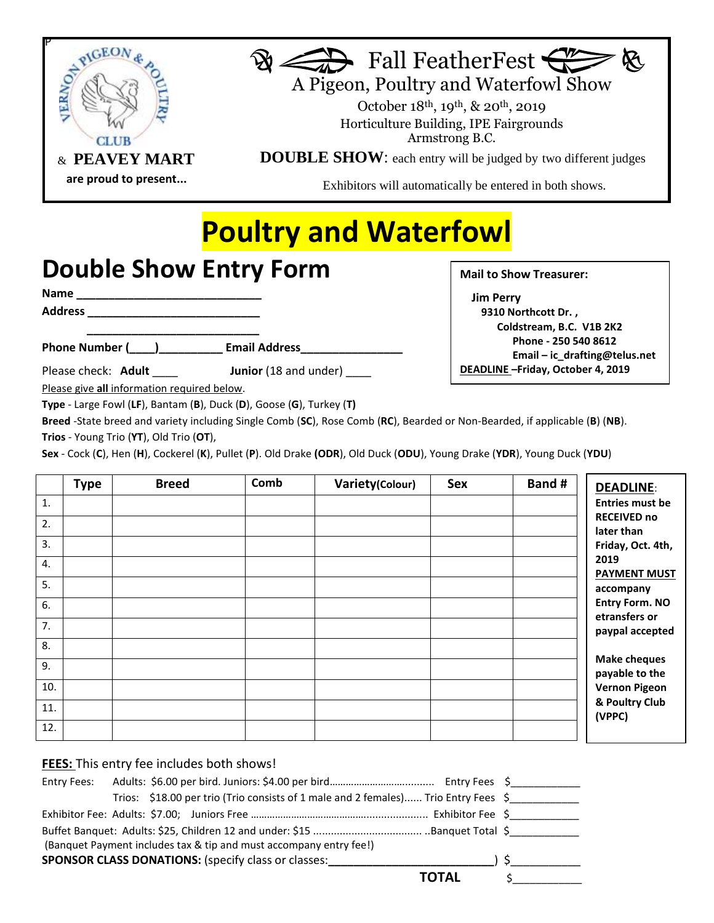



A Pigeon, Poultry and Waterfowl Show

 October 18th, 19th, & 20th, 2019 Horticulture Building, IPE Fairgrounds Armstrong B.C.

**DOUBLE SHOW**: each entry will be judged by two different judges

Exhibitors will automatically be entered in both shows.

## **Poultry and Waterfowl**

## **Double Show Entry Form**

**Name \_\_\_\_\_\_\_\_\_\_\_\_\_\_\_\_\_\_\_\_\_\_\_\_\_\_\_\_\_**

**Address \_\_\_\_\_\_\_\_\_\_\_\_\_\_\_\_\_\_\_\_\_\_\_\_\_\_\_**

**\_\_\_\_\_\_\_\_\_\_\_\_\_\_\_\_\_\_\_\_\_\_\_\_\_\_\_** Phone Number (  $\qquad$  ) Email Address

Please check: **Adult** \_\_\_\_\_ **Junior** (18 and under)

**Mail to Show Treasurer:** 

 **Jim Perry 9310 Northcott Dr. , Coldstream, B.C. V1B 2K2 Phone - 250 540 8612 Email – ic\_drafting@telus.net DEADLINE –Friday, October 4, 2019** 

Please give **all** information required below.

**Type** - Large Fowl (**LF**), Bantam (**B**), Duck (**D**), Goose (**G**), Turkey (**T)**

**Breed** -State breed and variety including Single Comb (**SC**), Rose Comb (**RC**), Bearded or Non-Bearded, if applicable (**B**) (**NB**). **Trios** - Young Trio (**YT**), Old Trio (**OT**),

**Sex** - Cock (**C**), Hen (**H**), Cockerel (**K**), Pullet (**P**). Old Drake **(ODR**), Old Duck (**ODU**), Young Drake (**YDR**), Young Duck (**YDU**)

|     | <b>Type</b> | <b>Breed</b> | Comb | Variety(Colour) | <b>Sex</b> | Band # | <b>DEADLINE:</b>                                          |
|-----|-------------|--------------|------|-----------------|------------|--------|-----------------------------------------------------------|
| 1.  |             |              |      |                 |            |        | <b>Entries must be</b>                                    |
| 2.  |             |              |      |                 |            |        | <b>RECEIVED no</b><br>later than                          |
| 3.  |             |              |      |                 |            |        | Friday, Oct. 4th,                                         |
| 4.  |             |              |      |                 |            |        | 2019<br><b>PAYMENT MUST</b>                               |
| 5.  |             |              |      |                 |            |        | accompany                                                 |
| 6.  |             |              |      |                 |            |        | <b>Entry Form. NO</b><br>etransfers or<br>paypal accepted |
| 7.  |             |              |      |                 |            |        |                                                           |
| 8.  |             |              |      |                 |            |        |                                                           |
| 9.  |             |              |      |                 |            |        | <b>Make cheques</b><br>payable to the                     |
| 10. |             |              |      |                 |            |        | <b>Vernon Pigeon</b>                                      |
| 11. |             |              |      |                 |            |        | & Poultry Club<br>(VPPC)                                  |
| 12. |             |              |      |                 |            |        |                                                           |

## **FEES:** This entry fee includes both shows!

| Trios: \$18.00 per trio (Trio consists of 1 male and 2 females) Trio Entry Fees \$ |       |
|------------------------------------------------------------------------------------|-------|
|                                                                                    |       |
|                                                                                    |       |
| (Banquet Payment includes tax & tip and must accompany entry fee!)                 |       |
|                                                                                    |       |
|                                                                                    | TOTAL |